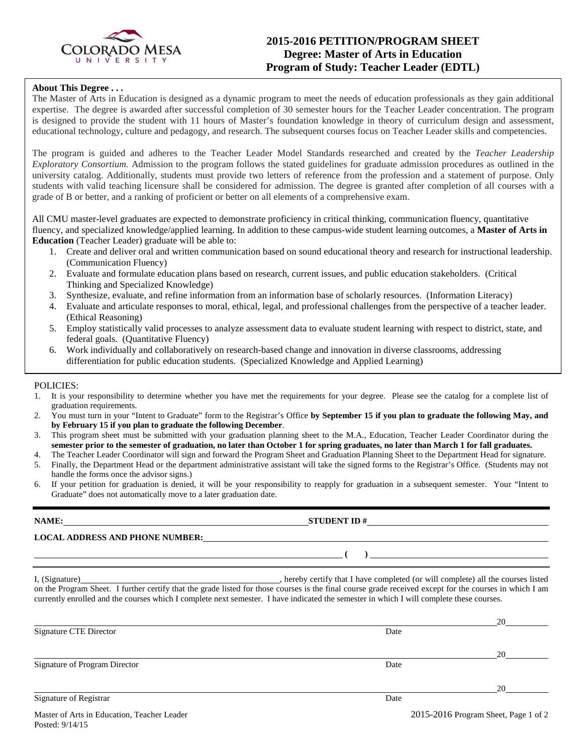

# **2015-2016 PETITION/PROGRAM SHEET Degree: Master of Arts in Education Program of Study: Teacher Leader (EDTL)**

### **About This Degree . . .**

The Master of Arts in Education is designed as a dynamic program to meet the needs of education professionals as they gain additional expertise. The degree is awarded after successful completion of 30 semester hours for the Teacher Leader concentration. The program is designed to provide the student with 11 hours of Master's foundation knowledge in theory of curriculum design and assessment, educational technology, culture and pedagogy, and research. The subsequent courses focus on Teacher Leader skills and competencies.

The program is guided and adheres to the Teacher Leader Model Standards researched and created by the *Teacher Leadership Exploratory Consortium.* Admission to the program follows the stated guidelines for graduate admission procedures as outlined in the university catalog. Additionally, students must provide two letters of reference from the profession and a statement of purpose. Only students with valid teaching licensure shall be considered for admission. The degree is granted after completion of all courses with a grade of B or better, and a ranking of proficient or better on all elements of a comprehensive exam.

All CMU master-level graduates are expected to demonstrate proficiency in critical thinking, communication fluency, quantitative fluency, and specialized knowledge/applied learning. In addition to these campus-wide student learning outcomes, a **Master of Arts in Education** (Teacher Leader) graduate will be able to:

- 1. Create and deliver oral and written communication based on sound educational theory and research for instructional leadership. (Communication Fluency)
- 2. Evaluate and formulate education plans based on research, current issues, and public education stakeholders. (Critical Thinking and Specialized Knowledge)
- 3. Synthesize, evaluate, and refine information from an information base of scholarly resources. (Information Literacy)
- 4. Evaluate and articulate responses to moral, ethical, legal, and professional challenges from the perspective of a teacher leader. (Ethical Reasoning)
- 5. Employ statistically valid processes to analyze assessment data to evaluate student learning with respect to district, state, and federal goals. (Quantitative Fluency)
- 6. Work individually and collaboratively on research-based change and innovation in diverse classrooms, addressing differentiation for public education students. (Specialized Knowledge and Applied Learning)

### POLICIES:

- 1. It is your responsibility to determine whether you have met the requirements for your degree. Please see the catalog for a complete list of graduation requirements.
- 2. You must turn in your "Intent to Graduate" form to the Registrar's Office **by September 15 if you plan to graduate the following May, and by February 15 if you plan to graduate the following December**.
- 3. This program sheet must be submitted with your graduation planning sheet to the M.A., Education, Teacher Leader Coordinator during the **semester prior to the semester of graduation, no later than October 1 for spring graduates, no later than March 1 for fall graduates.**
- 4. The Teacher Leader Coordinator will sign and forward the Program Sheet and Graduation Planning Sheet to the Department Head for signature.
- 5. Finally, the Department Head or the department administrative assistant will take the signed forms to the Registrar's Office. (Students may not handle the forms once the advisor signs.)
- 6. If your petition for graduation is denied, it will be your responsibility to reapply for graduation in a subsequent semester. Your "Intent to Graduate" does not automatically move to a later graduation date.

|                                             | NAME: $STUDENT ID #$                                                                                                                                                                                                                                                                                |                                      |  |  |
|---------------------------------------------|-----------------------------------------------------------------------------------------------------------------------------------------------------------------------------------------------------------------------------------------------------------------------------------------------------|--------------------------------------|--|--|
|                                             | LOCAL ADDRESS AND PHONE NUMBER: Under the contract of the contract of the contract of the contract of the contract of the contract of the contract of the contract of the contract of the contract of the contract of the cont                                                                      |                                      |  |  |
|                                             | $\overline{a}$ (b) and the contract of $\overline{a}$ (c) and the contract of $\overline{a}$ (c) and the contract of $\overline{a}$                                                                                                                                                                 |                                      |  |  |
|                                             | on the Program Sheet. I further certify that the grade listed for those courses is the final course grade received except for the courses in which I am<br>currently enrolled and the courses which I complete next semester. I have indicated the semester in which I will complete these courses. |                                      |  |  |
|                                             |                                                                                                                                                                                                                                                                                                     |                                      |  |  |
| Signature CTE Director                      | Date                                                                                                                                                                                                                                                                                                |                                      |  |  |
|                                             |                                                                                                                                                                                                                                                                                                     |                                      |  |  |
| Signature of Program Director               | Date                                                                                                                                                                                                                                                                                                |                                      |  |  |
|                                             |                                                                                                                                                                                                                                                                                                     |                                      |  |  |
| Signature of Registrar                      | Date                                                                                                                                                                                                                                                                                                |                                      |  |  |
| Master of Arts in Education, Teacher Leader |                                                                                                                                                                                                                                                                                                     | 2015-2016 Program Sheet, Page 1 of 2 |  |  |